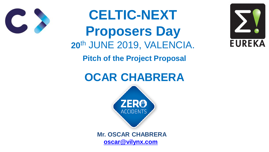**CELTIC-NEXT Proposers Day 20**th JUNE 2019, VALENCIA. **Pitch of the Project Proposal OCAR CHABRERA** ACCIDENT!







#### **Mr. OSCAR CHABRERA [oscar@vilynx.com](mailto:Oscar@vilynx.com)**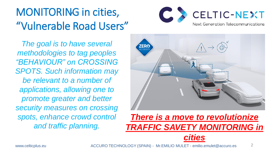# MONITORING in cities, "Vulnerable Road Users"

2

*The goal is to have several methodologies to tag peoples "BEHAVIOUR" on CROSSING SPOTS. Such information may be relevant to a number of applications, allowing one to promote greater and better security measures on crossing spots, enhance crowd control and traffic planning.* 





## *There is a move to revolutionize TRAFFIC SAVETY MONITORING in*

### *cities*

www.celticplus.eu ACCURO TECHNOLOGY (SPAIN) - Mr.EMILIO MULET - emilio.emulet@accuro.es

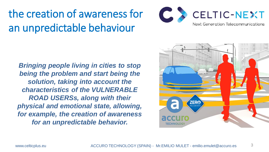the creation of awareness for an unpredictable behaviour

*Bringing people living in cities to stop being the problem and start being the solution, taking into account the characteristics of the VULNERABLE ROAD USERSs, along with their physical and emotional state, allowing, for example, the creation of awareness for an unpredictable behavior.* 





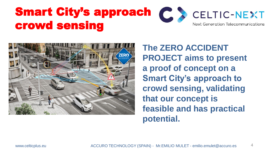# Smart City's approach (C.S. crowd sensing



www.celticplus.eu ACCURO TECHNOLOGY (SPAIN) - Mr.EMILIO MULET - emilio.emulet@accuro.es 4



**The ZERO ACCIDENT PROJECT aims to present a proof of concept on a Smart City's approach to crowd sensing, validating that our concept is feasible and has practical potential.**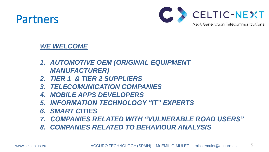## Partners

#### WE WELCOME

- *1. AUTOMOTIVE OEM (ORIGINAL EQUIPMENT MANUFACTURER)*
- 
- 
- *2. TIER 1 & TIER 2 SUPPLIERS 3. TELECOMUNICATION COMPANIES 4. MOBILE APPS DEVELOPERS 5. INFORMATION TECHNOLOGY "IT" EXPERTS*
- 
- *6. SMART CITIES*
- 
- 



### *7. COMPANIES RELATED WITH "VULNERABLE ROAD USERS" 8. COMPANIES RELATED TO BEHAVIOUR ANALYSIS*

www.celticplus.eu ACCURO TECHNOLOGY (SPAIN) - Mr.EMILIO MULET - emilio.emulet@accuro.es